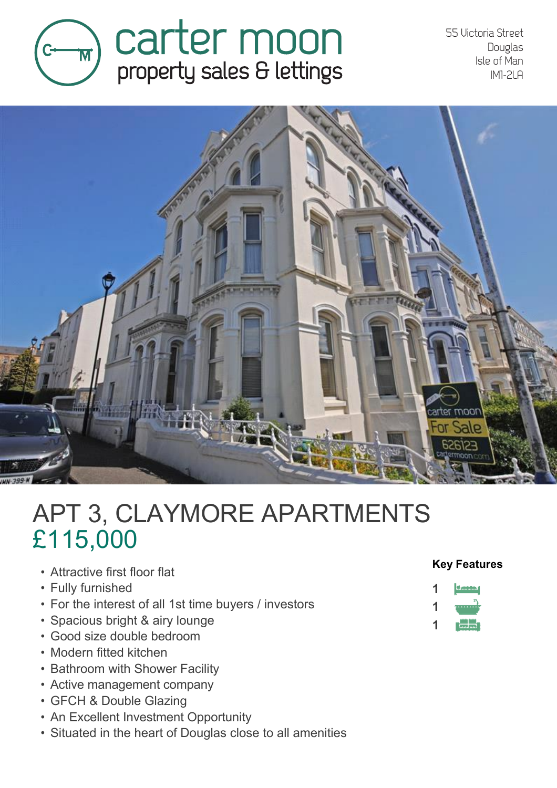

## carter moon property sales & lettings

55 Victoria Street Douglas Isle of Man IM1-2LA



### APT 3, CLAYMORE APARTMENTS £115,000

- Attractive first floor flat
- Fully furnished
- For the interest of all 1st time buyers / investors
- Spacious bright & airy lounge
- Good size double bedroom
- Modern fitted kitchen
- Bathroom with Shower Facility
- Active management company
- GFCH & Double Glazing
- An Excellent Investment Opportunity
- Situated in the heart of Douglas close to all amenities

#### **Key Features**

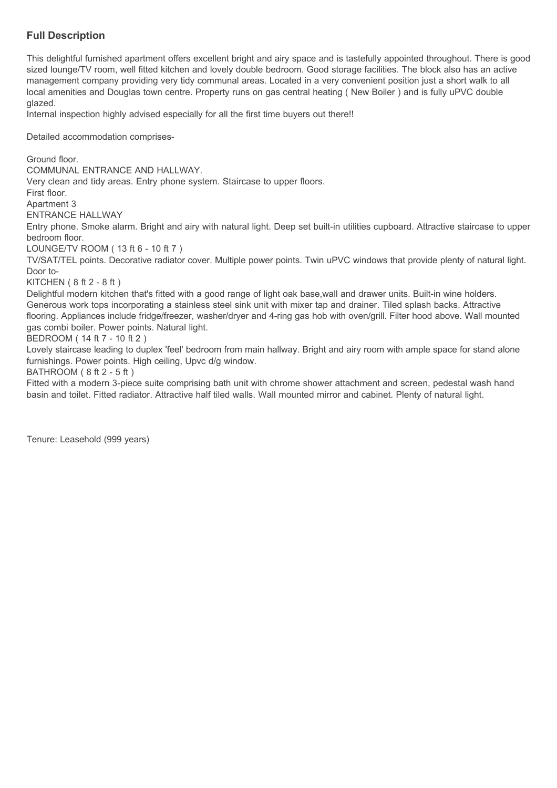#### **Full Description**

This delightful furnished apartment offers excellent bright and airy space and is tastefully appointed throughout. There is good sized lounge/TV room, well fitted kitchen and lovely double bedroom. Good storage facilities. The block also has an active management company providing very tidy communal areas. Located in a very convenient position just a short walk to all local amenities and Douglas town centre. Property runs on gas central heating ( New Boiler ) and is fully uPVC double glazed.

Internal inspection highly advised especially for all the first time buyers out there!!

Detailed accommodation comprises-

Ground floor. COMMUNAL ENTRANCE AND HALLWAY. Very clean and tidy areas. Entry phone system. Staircase to upper floors. First floor. Apartment 3 ENTRANCE HALLWAY Entry phone. Smoke alarm. Bright and airy with natural light. Deep set built-in utilities cupboard. Attractive staircase to upper bedroom floor. LOUNGE/TV ROOM ( 13 ft 6 - 10 ft 7 ) TV/SAT/TEL points. Decorative radiator cover. Multiple power points. Twin uPVC windows that provide plenty of natural light. Door to-KITCHEN ( 8 ft 2 - 8 ft ) Delightful modern kitchen that's fitted with a good range of light oak base,wall and drawer units. Built-in wine holders. Generous work tops incorporating a stainless steel sink unit with mixer tap and drainer. Tiled splash backs. Attractive flooring. Appliances include fridge/freezer, washer/dryer and 4-ring gas hob with oven/grill. Filter hood above. Wall mounted gas combi boiler. Power points. Natural light.

BEDROOM ( 14 ft 7 - 10 ft 2 )

Lovely staircase leading to duplex 'feel' bedroom from main hallway. Bright and airy room with ample space for stand alone furnishings. Power points. High ceiling, Upvc d/g window.

BATHROOM ( 8 ft 2 - 5 ft )

Fitted with a modern 3-piece suite comprising bath unit with chrome shower attachment and screen, pedestal wash hand basin and toilet. Fitted radiator. Attractive half tiled walls. Wall mounted mirror and cabinet. Plenty of natural light.

Tenure: Leasehold (999 years)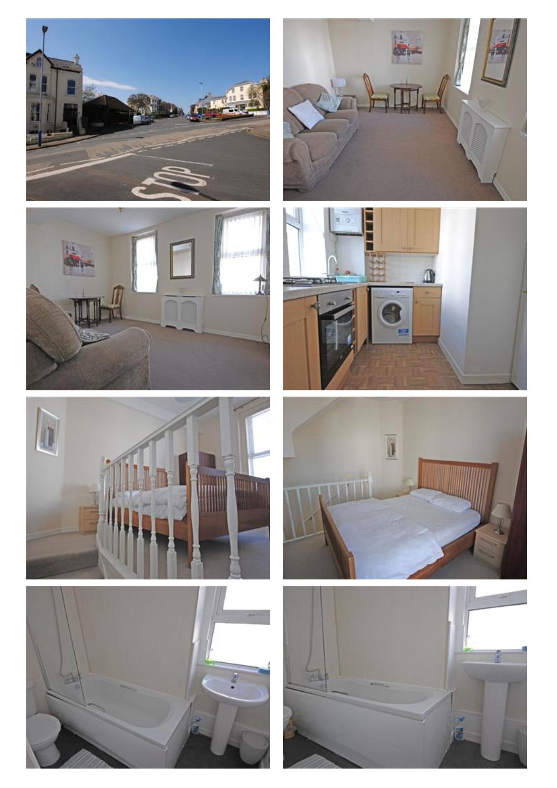